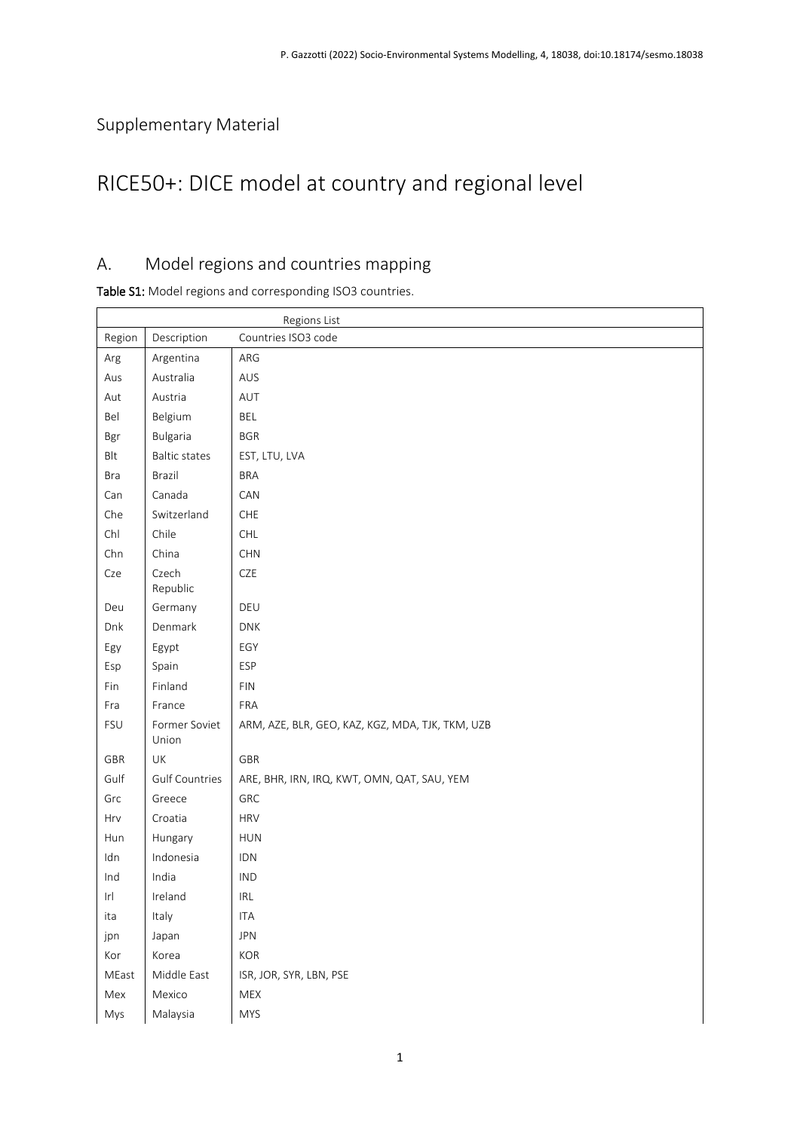# Supplementary Material

 $\mathsf{r}$ 

# RICE50+: DICE model at country and regional level

### A. Model regions and countries mapping

Table S1: Model regions and corresponding ISO3 countries.

|        |                        | Regions List                                     |
|--------|------------------------|--------------------------------------------------|
| Region | Description            | Countries ISO3 code                              |
| Arg    | Argentina              | ARG                                              |
| Aus    | Australia              | AUS                                              |
| Aut    | Austria                | AUT                                              |
| Bel    | Belgium                | <b>BEL</b>                                       |
| Bgr    | <b>Bulgaria</b>        | <b>BGR</b>                                       |
| Blt    | <b>Baltic states</b>   | EST, LTU, LVA                                    |
| Bra    | Brazil                 | <b>BRA</b>                                       |
| Can    | Canada                 | CAN                                              |
| Che    | Switzerland            | ${\sf CHE}$                                      |
| Chl    | Chile                  | $\mathsf{CHL}$                                   |
| Chn    | China                  | CHN                                              |
| Cze    | Czech<br>Republic      | CZE                                              |
| Deu    | Germany                | DEU                                              |
| Dnk    | Denmark                | DNK                                              |
| Egy    | Egypt                  | EGY                                              |
| Esp    | Spain                  | ESP                                              |
| Fin    | Finland                | <b>FIN</b>                                       |
| Fra    | France                 | FRA                                              |
| FSU    | Former Soviet<br>Union | ARM, AZE, BLR, GEO, KAZ, KGZ, MDA, TJK, TKM, UZB |
| GBR    | UK                     | GBR                                              |
| Gulf   | <b>Gulf Countries</b>  | ARE, BHR, IRN, IRQ, KWT, OMN, QAT, SAU, YEM      |
| Grc    | Greece                 | GRC                                              |
| Hrv    | Croatia                | <b>HRV</b>                                       |
| Hun    | Hungary                | HUN                                              |
| Idn    | Indonesia              | IDN                                              |
| Ind    | India                  | <b>IND</b>                                       |
| r      | Ireland                | $\ensuremath{\mathsf{IRL}}\xspace$               |
| ita    | Italy                  | <b>ITA</b>                                       |
| jpn    | Japan                  | JPN                                              |
| Kor    | Korea                  | KOR                                              |
| MEast  | Middle East            | ISR, JOR, SYR, LBN, PSE                          |
| Mex    | Mexico                 | MEX                                              |
| Mys    | Malaysia               | <b>MYS</b>                                       |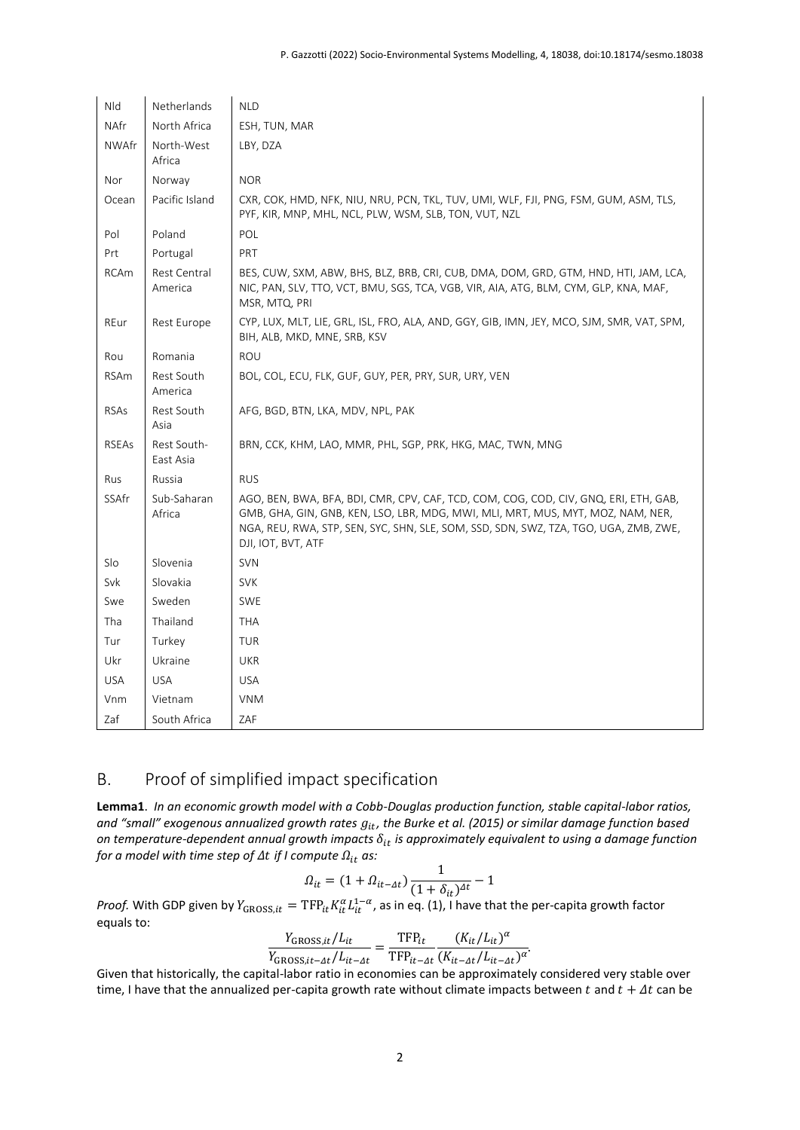| Nld          | Netherlands              | <b>NLD</b>                                                                                                                                                                                                                                                                            |
|--------------|--------------------------|---------------------------------------------------------------------------------------------------------------------------------------------------------------------------------------------------------------------------------------------------------------------------------------|
| NAfr         | North Africa             | ESH, TUN, MAR                                                                                                                                                                                                                                                                         |
| <b>NWAfr</b> | North-West<br>Africa     | LBY, DZA                                                                                                                                                                                                                                                                              |
| Nor          | Norway                   | <b>NOR</b>                                                                                                                                                                                                                                                                            |
| Ocean        | Pacific Island           | CXR, COK, HMD, NFK, NIU, NRU, PCN, TKL, TUV, UMI, WLF, FJI, PNG, FSM, GUM, ASM, TLS,<br>PYF, KIR, MNP, MHL, NCL, PLW, WSM, SLB, TON, VUT, NZL                                                                                                                                         |
| Pol          | Poland                   | POL                                                                                                                                                                                                                                                                                   |
| Prt          | Portugal                 | <b>PRT</b>                                                                                                                                                                                                                                                                            |
| <b>RCAm</b>  | Rest Central<br>America  | BES, CUW, SXM, ABW, BHS, BLZ, BRB, CRI, CUB, DMA, DOM, GRD, GTM, HND, HTI, JAM, LCA,<br>NIC, PAN, SLV, TTO, VCT, BMU, SGS, TCA, VGB, VIR, AIA, ATG, BLM, CYM, GLP, KNA, MAF,<br>MSR, MTQ, PRI                                                                                         |
| REur         | Rest Europe              | CYP, LUX, MLT, LIE, GRL, ISL, FRO, ALA, AND, GGY, GIB, IMN, JEY, MCO, SJM, SMR, VAT, SPM,<br>BIH, ALB, MKD, MNE, SRB, KSV                                                                                                                                                             |
| Rou          | Romania                  | <b>ROU</b>                                                                                                                                                                                                                                                                            |
| <b>RSAm</b>  | Rest South<br>America    | BOL, COL, ECU, FLK, GUF, GUY, PER, PRY, SUR, URY, VEN                                                                                                                                                                                                                                 |
| <b>RSAs</b>  | Rest South<br>Asia       | AFG, BGD, BTN, LKA, MDV, NPL, PAK                                                                                                                                                                                                                                                     |
| <b>RSEAs</b> | Rest South-<br>East Asia | BRN, CCK, KHM, LAO, MMR, PHL, SGP, PRK, HKG, MAC, TWN, MNG                                                                                                                                                                                                                            |
| <b>Rus</b>   | Russia                   | <b>RUS</b>                                                                                                                                                                                                                                                                            |
| SSAfr        | Sub-Saharan<br>Africa    | AGO, BEN, BWA, BFA, BDI, CMR, CPV, CAF, TCD, COM, COG, COD, CIV, GNQ, ERI, ETH, GAB,<br>GMB, GHA, GIN, GNB, KEN, LSO, LBR, MDG, MWI, MLI, MRT, MUS, MYT, MOZ, NAM, NER,<br>NGA, REU, RWA, STP, SEN, SYC, SHN, SLE, SOM, SSD, SDN, SWZ, TZA, TGO, UGA, ZMB, ZWE,<br>DJI, IOT, BVT, ATF |
| Slo          | Slovenia                 | <b>SVN</b>                                                                                                                                                                                                                                                                            |
| Svk          | Slovakia                 | <b>SVK</b>                                                                                                                                                                                                                                                                            |
| Swe          | Sweden                   | <b>SWE</b>                                                                                                                                                                                                                                                                            |
| Tha          | Thailand                 | <b>THA</b>                                                                                                                                                                                                                                                                            |
| Tur          | Turkey                   | <b>TUR</b>                                                                                                                                                                                                                                                                            |
| Ukr          | Ukraine                  | <b>UKR</b>                                                                                                                                                                                                                                                                            |
| <b>USA</b>   | <b>USA</b>               | <b>USA</b>                                                                                                                                                                                                                                                                            |
| Vnm          | Vietnam                  | <b>VNM</b>                                                                                                                                                                                                                                                                            |
| Zaf          | South Africa             | ZAF                                                                                                                                                                                                                                                                                   |

#### B. Proof of simplified impact specification

**Lemma1**. *In an economic growth model with a Cobb-Douglas production function, stable capital-labor ratios,*  and "small" exogenous annualized growth rates  $g_{it}$ , the Burke et al. (2015) or similar damage function based *on temperature-dependent annual growth impacts is approximately equivalent to using a damage function for a model with time step of*  $\Delta t$  *if I compute*  $\Omega_{it}$  *as:* 

$$
\Omega_{it}=(1+\Omega_{it-At})\frac{1}{(1+\delta_{it})^{4t}}-1
$$

*Proof.* With GDP given by  $Y_{\text{GROSS}, it} = TFP_{it} K_{it}^{\alpha} L_{it}^{1-\alpha}$ , as in eq. (1), I have that the per-capita growth factor equals to:

$$
\frac{Y_{\text{GROSS},it}/L_{it}}{Y_{\text{GROSS},it-At}/L_{it-At}} = \frac{\text{TFP}_{it}}{\text{TFP}_{it-At}} \frac{(K_{it}/L_{it})^{\alpha}}{(K_{it-At}/L_{it-At})^{\alpha}}.
$$

Given that historically, the capital-labor ratio in economies can be approximately considered very stable over time, I have that the annualized per-capita growth rate without climate impacts between  $t$  and  $t + \Delta t$  can be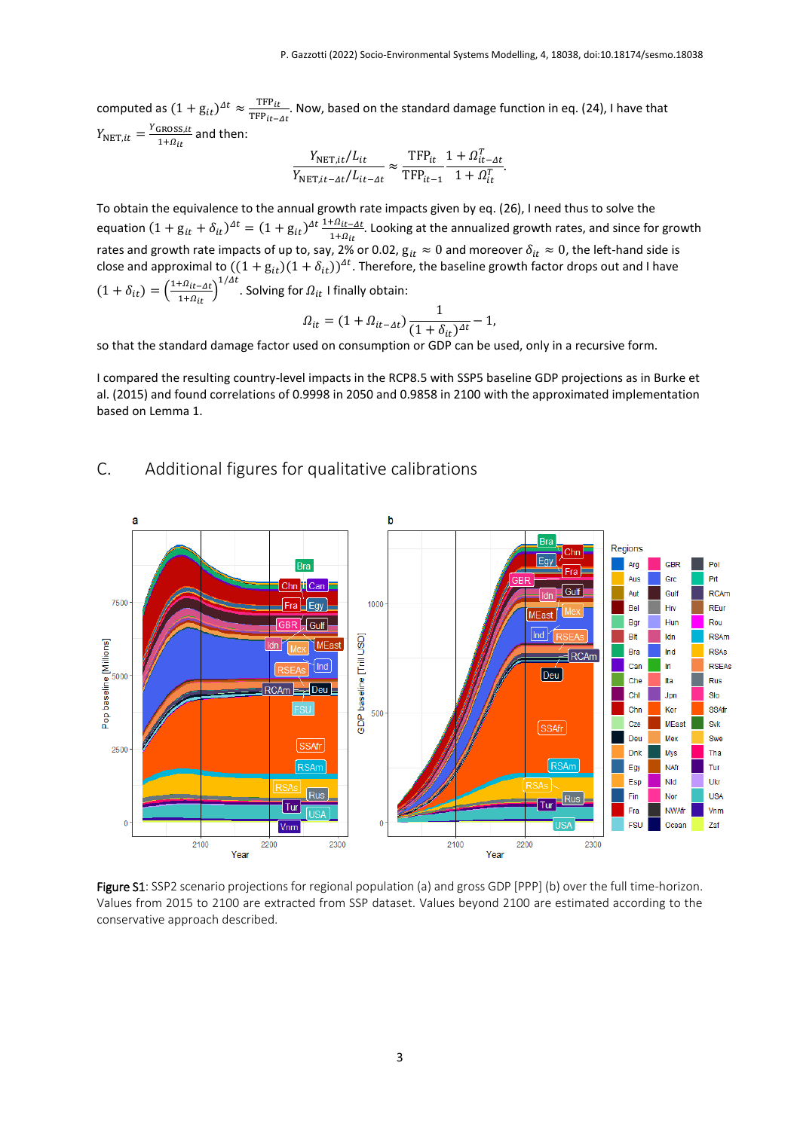computed as  $(1+g_{it})^{\Delta t} \approx \frac{\text{TFP}_{it}}{\text{TFP}_{it}}$  $\frac{1}{1+\epsilon}$  Now, based on the standard damage function in eq. (24), I have that  $TF_{it-4t}$  $Y_{\text{NET}, it} = \frac{Y_{\text{GROSS}, it}}{1 + \Omega}$  $\frac{1+Q_{it}}{1+Q_{it}}$  and then:

$$
\frac{Y_{\text{NET},it}/L_{it}}{Y_{\text{NET},it-At}/L_{it-At}} \approx \frac{\text{TFP}_{it}}{\text{TFP}_{it-1}} \frac{1 + \Omega_{it-At}^T}{1 + \Omega_{it}^T}.
$$

To obtain the equivalence to the annual growth rate impacts given by eq. (26), I need thus to solve the equation  $(1 + g_{it} + \delta_{it})^{\Delta t} = (1 + g_{it})^{\Delta t} \frac{1 + \Omega_{it} - \Delta t}{1 + \Omega_{it}}$  $\frac{1.2 \cdot 11 - 10}{1 + \Omega_{it}}$ . Looking at the annualized growth rates, and since for growth rates and growth rate impacts of up to, say, 2% or 0.02,  $g_{it} \approx 0$  and moreover  $\delta_{it} \approx 0$ , the left-hand side is close and approximal to  $((1+g_{it})(1+\delta_{it}))^{At}$ . Therefore, the baseline growth factor drops out and I have  $(1 + \delta_{it}) = \left(\frac{1 + \Omega_{it} - \Delta t}{1 + \Omega_{it}}\right)$  $\frac{1+\Omega_{it}-\Delta t}{1+\Omega_{it}}\Big)^{1/\Delta t}$ . Solving for  $\Omega_{it}$  I finally obtain:

$$
\Omega_{it} = (1 + \Omega_{it-At}) \frac{1}{(1 + \delta_{it})^{\Delta t}} - 1,
$$

so that the standard damage factor used on consumption or GDP can be used, only in a recursive form.

I compared the resulting country-level impacts in the RCP8.5 with SSP5 baseline GDP projections as in Burke et al. (2015) and found correlations of 0.9998 in 2050 and 0.9858 in 2100 with the approximated implementation based on Lemma 1.

# C. Additional figures for qualitative calibrations



Figure S1: SSP2 scenario projections for regional population (a) and gross GDP [PPP] (b) over the full time-horizon. Values from 2015 to 2100 are extracted from SSP dataset. Values beyond 2100 are estimated according to the conservative approach described.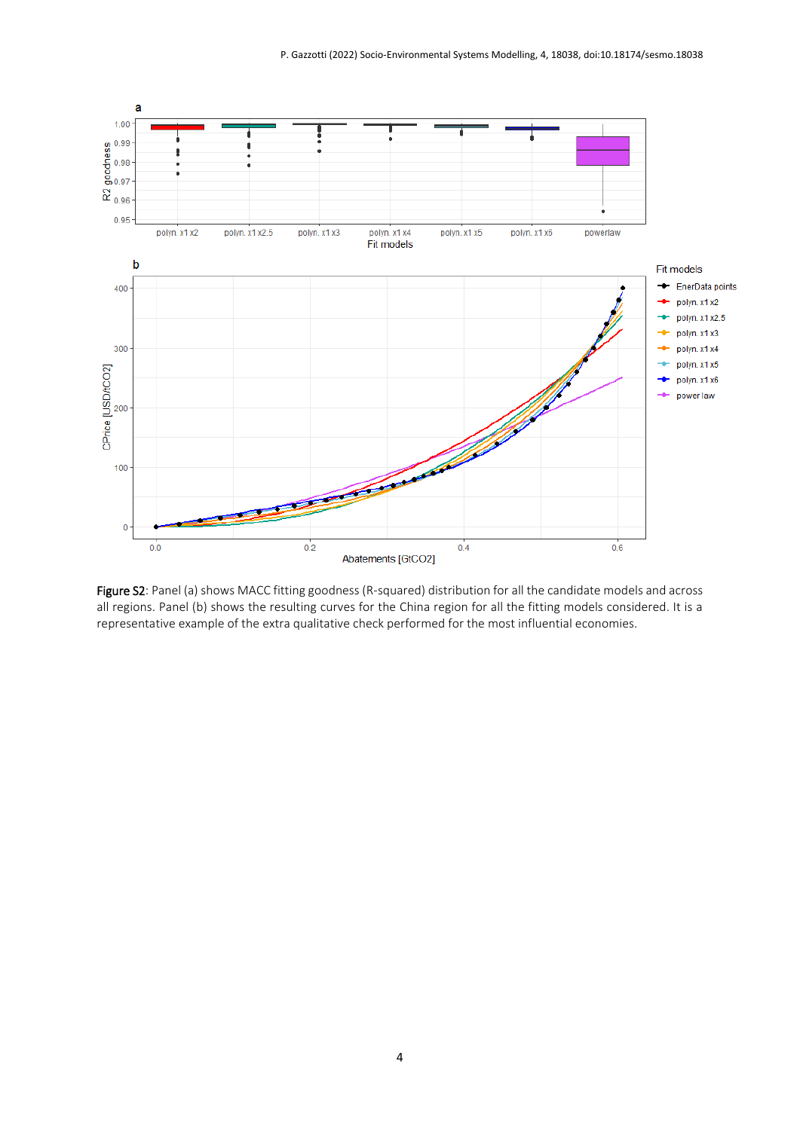

Figure S2: Panel (a) shows MACC fitting goodness (R-squared) distribution for all the candidate models and across all regions. Panel (b) shows the resulting curves for the China region for all the fitting models considered. It is a representative example of the extra qualitative check performed for the most influential economies.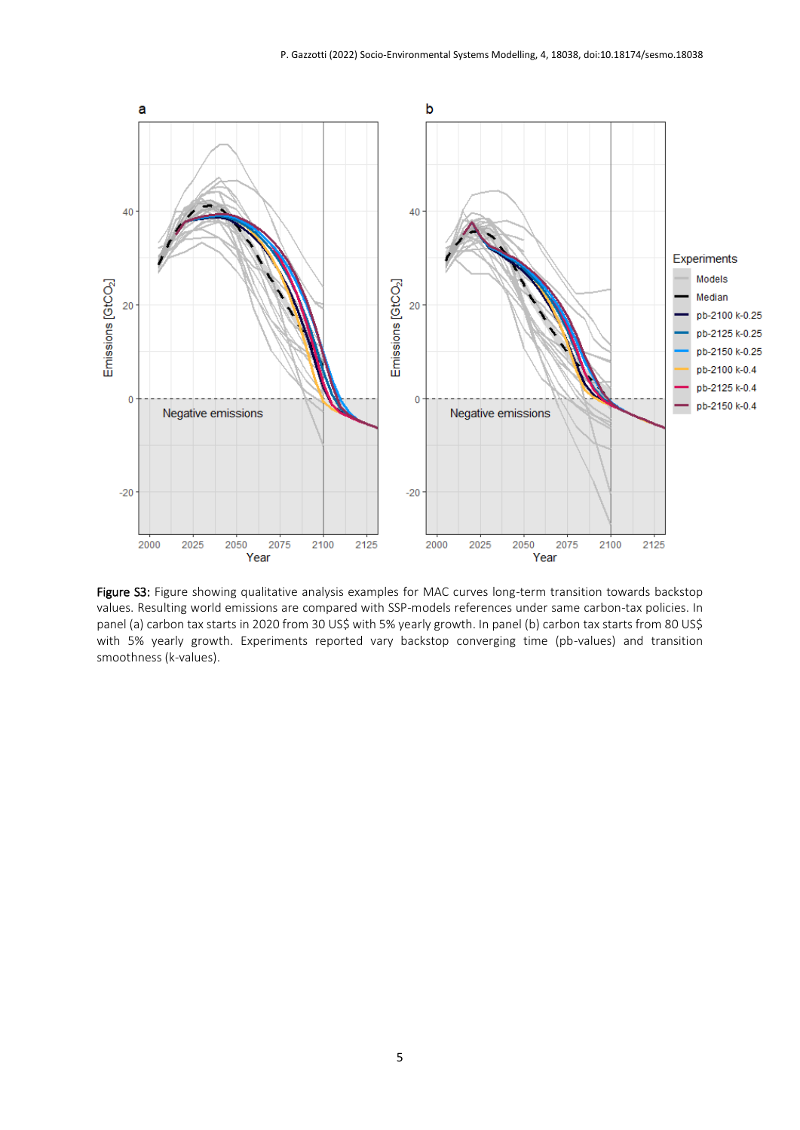

Figure S3: Figure showing qualitative analysis examples for MAC curves long-term transition towards backstop values. Resulting world emissions are compared with SSP-models references under same carbon-tax policies. In panel (a) carbon tax starts in 2020 from 30 US\$ with 5% yearly growth. In panel (b) carbon tax starts from 80 US\$ with 5% yearly growth. Experiments reported vary backstop converging time (pb-values) and transition smoothness (k-values).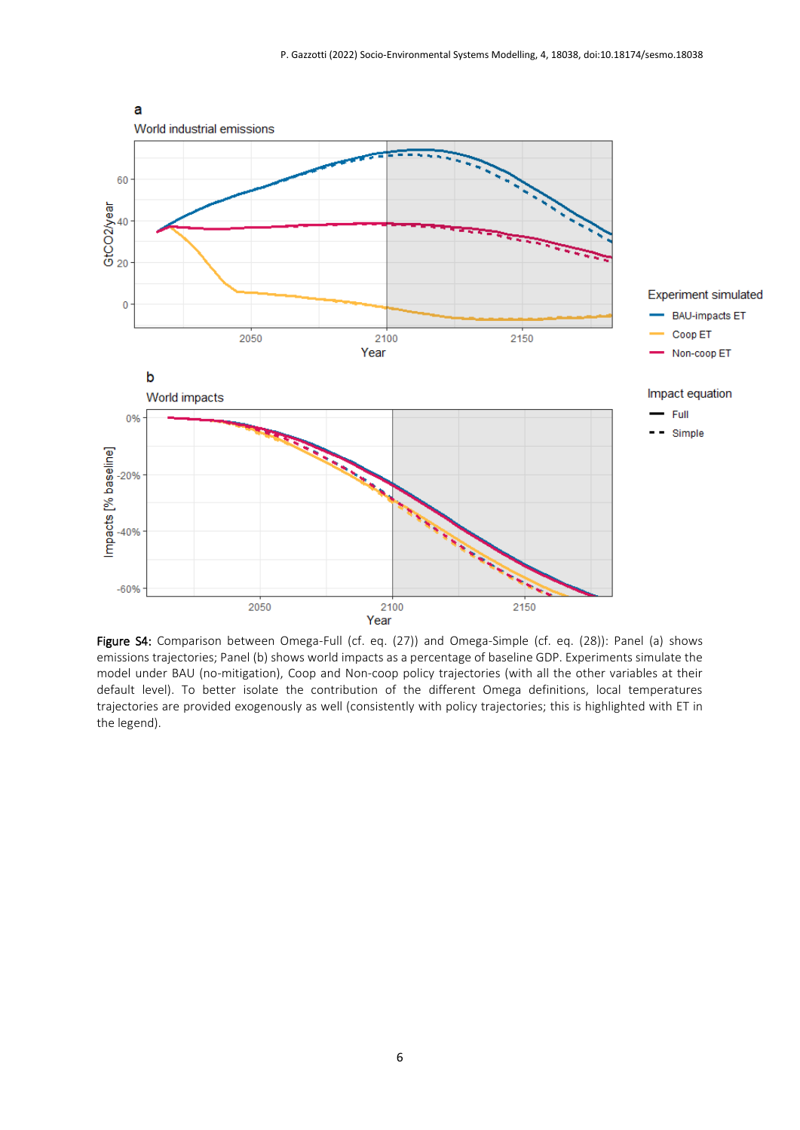

Figure S4: Comparison between Omega-Full (cf. eq. (27)) and Omega-Simple (cf. eq. (28)): Panel (a) shows emissions trajectories; Panel (b) shows world impacts as a percentage of baseline GDP. Experiments simulate the model under BAU (no-mitigation), Coop and Non-coop policy trajectories (with all the other variables at their default level). To better isolate the contribution of the different Omega definitions, local temperatures trajectories are provided exogenously as well (consistently with policy trajectories; this is highlighted with ET in the legend).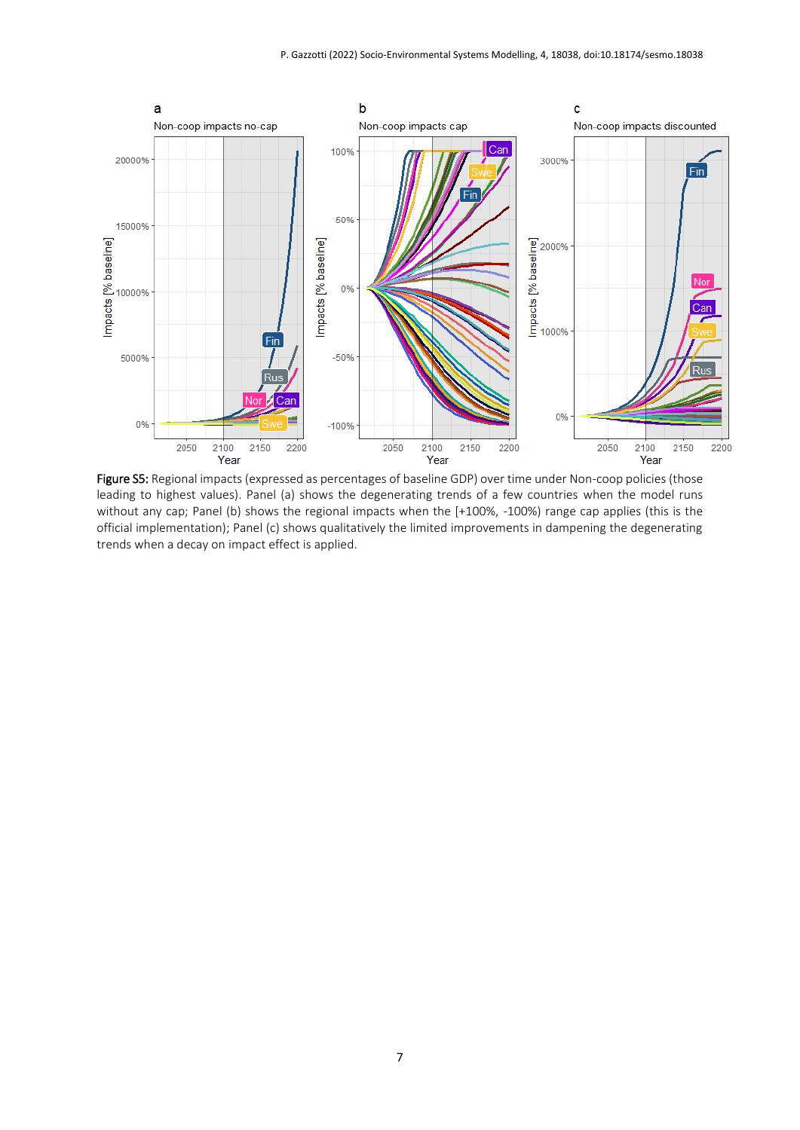

Figure S5: Regional impacts (expressed as percentages of baseline GDP) over time under Non-coop policies (those leading to highest values). Panel (a) shows the degenerating trends of a few countries when the model runs without any cap; Panel (b) shows the regional impacts when the [+100%, -100%) range cap applies (this is the official implementation); Panel (c) shows qualitatively the limited improvements in dampening the degenerating trends when a decay on impact effect is applied.